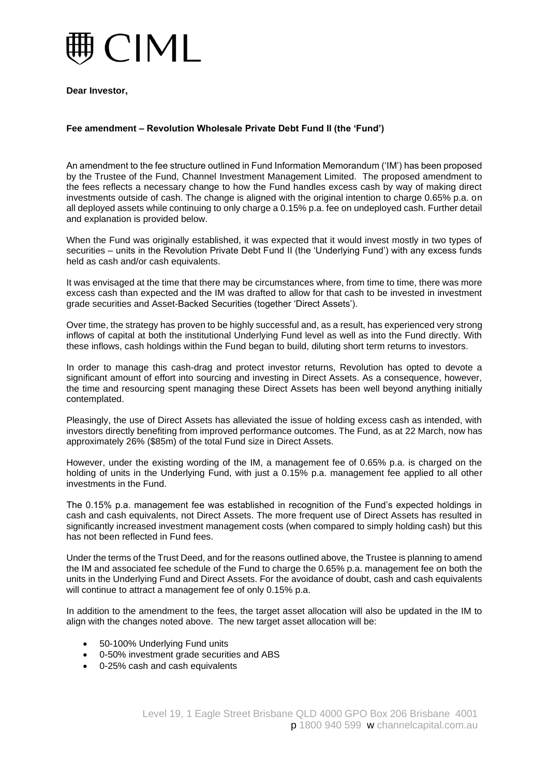

**Dear Investor,**

## **Fee amendment – Revolution Wholesale Private Debt Fund II (the 'Fund')**

An amendment to the fee structure outlined in Fund Information Memorandum ('IM') has been proposed by the Trustee of the Fund, Channel Investment Management Limited. The proposed amendment to the fees reflects a necessary change to how the Fund handles excess cash by way of making direct investments outside of cash. The change is aligned with the original intention to charge 0.65% p.a. on all deployed assets while continuing to only charge a 0.15% p.a. fee on undeployed cash. Further detail and explanation is provided below.

When the Fund was originally established, it was expected that it would invest mostly in two types of securities – units in the Revolution Private Debt Fund II (the 'Underlying Fund') with any excess funds held as cash and/or cash equivalents.

It was envisaged at the time that there may be circumstances where, from time to time, there was more excess cash than expected and the IM was drafted to allow for that cash to be invested in investment grade securities and Asset-Backed Securities (together 'Direct Assets').

Over time, the strategy has proven to be highly successful and, as a result, has experienced very strong inflows of capital at both the institutional Underlying Fund level as well as into the Fund directly. With these inflows, cash holdings within the Fund began to build, diluting short term returns to investors.

In order to manage this cash-drag and protect investor returns, Revolution has opted to devote a significant amount of effort into sourcing and investing in Direct Assets. As a consequence, however, the time and resourcing spent managing these Direct Assets has been well beyond anything initially contemplated.

Pleasingly, the use of Direct Assets has alleviated the issue of holding excess cash as intended, with investors directly benefiting from improved performance outcomes. The Fund, as at 22 March, now has approximately 26% (\$85m) of the total Fund size in Direct Assets.

However, under the existing wording of the IM, a management fee of 0.65% p.a. is charged on the holding of units in the Underlying Fund, with just a 0.15% p.a. management fee applied to all other investments in the Fund.

The 0.15% p.a. management fee was established in recognition of the Fund's expected holdings in cash and cash equivalents, not Direct Assets. The more frequent use of Direct Assets has resulted in significantly increased investment management costs (when compared to simply holding cash) but this has not been reflected in Fund fees.

Under the terms of the Trust Deed, and for the reasons outlined above, the Trustee is planning to amend the IM and associated fee schedule of the Fund to charge the 0.65% p.a. management fee on both the units in the Underlying Fund and Direct Assets. For the avoidance of doubt, cash and cash equivalents will continue to attract a management fee of only 0.15% p.a.

In addition to the amendment to the fees, the target asset allocation will also be updated in the IM to align with the changes noted above. The new target asset allocation will be:

- 50-100% Underlying Fund units
- 0-50% investment grade securities and ABS
- 0-25% cash and cash equivalents